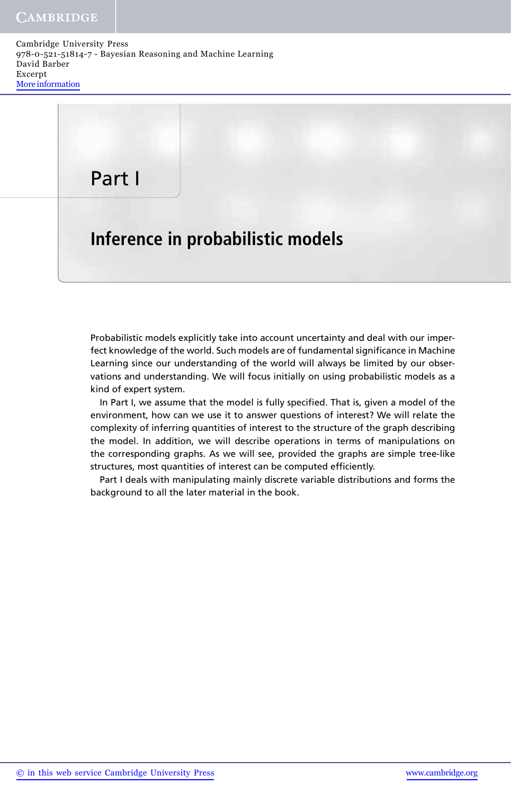Cambridge University Press 978-0-521-51814-7 - Bayesian Reasoning and Machine Learning David Barber Excerpt More information

Part I

# **Inference in probabilistic models**

Probabilistic models explicitly take into account uncertainty and deal with our imperfect knowledge of the world. Such models are of fundamental significance in Machine Learning since our understanding of the world will always be limited by our observations and understanding. We will focus initially on using probabilistic models as a kind of expert system.

In Part I, we assume that the model is fully specified. That is, given a model of the environment, how can we use it to answer questions of interest? We will relate the complexity of inferring quantities of interest to the structure of the graph describing the model. In addition, we will describe operations in terms of manipulations on the corresponding graphs. As we will see, provided the graphs are simple tree-like structures, most quantities of interest can be computed efficiently.

Part I deals with manipulating mainly discrete variable distributions and forms the background to all the later material in the book.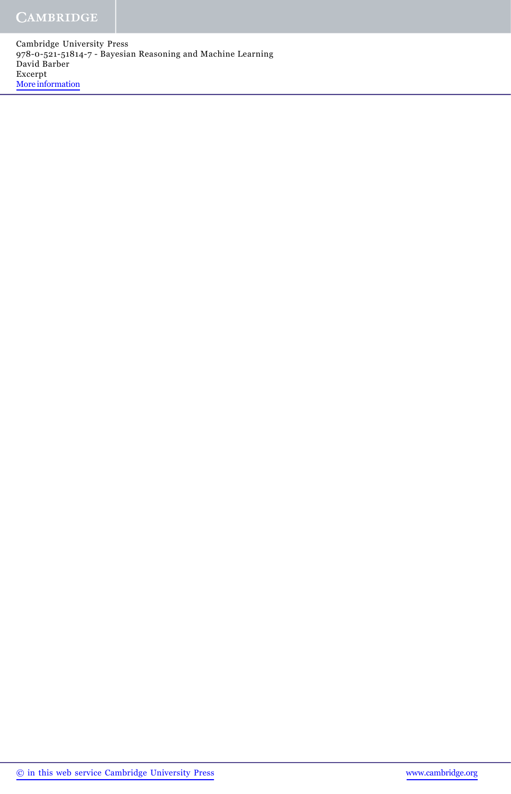Cambridge University Press 978-0-521-51814-7 - Bayesian Reasoning and Machine Learning David Barber Excerpt More information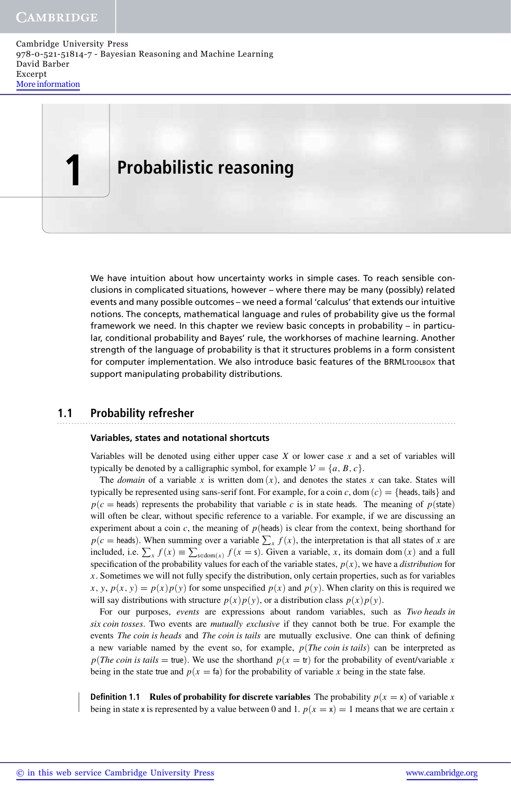Cambridge University Press 978-0-521-51814-7 - Bayesian Reasoning and Machine Learning David Barber Excerpt More information

# **1 Probabilistic reasoning**

We have intuition about how uncertainty works in simple cases. To reach sensible conclusions in complicated situations, however – where there may be many (possibly) related events and many possible outcomes – we need a formal 'calculus' that extends our intuitive notions. The concepts, mathematical language and rules of probability give us the formal framework we need. In this chapter we review basic concepts in probability – in particular, conditional probability and Bayes' rule, the workhorses of machine learning. Another strength of the language of probability is that it structures problems in a form consistent for computer implementation. We also introduce basic features of the BRMLTOOLBOX that support manipulating probability distributions.

## **1.1 Probability refresher**

## **Variables, states and notational shortcuts**

Variables will be denoted using either upper case *X* or lower case *x* and a set of variables will typically be denoted by a calligraphic symbol, for example  $V = \{a, B, c\}$ .

•••••••••••••••••••••••• •••••••••••••••••••••••••• ••••••••••••••••••••••••••• •••••••••••••••••••••••••• •••••••••••••••••••••••• ••••••••••••

The *domain* of a variable x is written dom  $(x)$ , and denotes the states x can take. States will typically be represented using sans-serif font. For example, for a coin *c*, dom  $(c) = \{$  heads, tails $\}$  and  $p(c = \text{heads})$  represents the probability that variable *c* is in state heads. The meaning of  $p(\text{state})$ will often be clear, without specific reference to a variable. For example, if we are discussing an experiment about a coin  $c$ , the meaning of  $p$ (heads) is clear from the context, being shorthand for  $p(c = \text{heads})$ . When summing over a variable  $\sum_{x} f(x)$ , the interpretation is that all states of *x* are included, i.e.  $\sum_{x} f(x) \equiv \sum_{s \in \text{dom}(x)} f(x = s)$ . Given a variable, *x*, its domain dom (*x*) and a full specification of the probability values for each of the variable states, *p*(*x*), we have a *distribution* for *x*. Sometimes we will not fully specify the distribution, only certain properties, such as for variables  $x, y, p(x, y) = p(x)p(y)$  for some unspecified  $p(x)$  and  $p(y)$ . When clarity on this is required we will say distributions with structure  $p(x)p(y)$ , or a distribution class  $p(x)p(y)$ .

For our purposes, *events* are expressions about random variables, such as *Two heads in six coin tosses*. Two events are *mutually exclusive* if they cannot both be true. For example the events *The coin is heads* and *The coin is tails* are mutually exclusive. One can think of defining a new variable named by the event so, for example, *p*(*The coin is tails*) can be interpreted as *p*(*The coin is tails* = true). We use the shorthand  $p(x = tr)$  for the probability of event/variable *x* being in the state true and  $p(x = ta)$  for the probability of variable x being in the state false.

**Definition 1.1 Rules of probability for discrete variables** The probability  $p(x = x)$  of variable *x* being in state x is represented by a value between 0 and 1.  $p(x = x) = 1$  means that we are certain x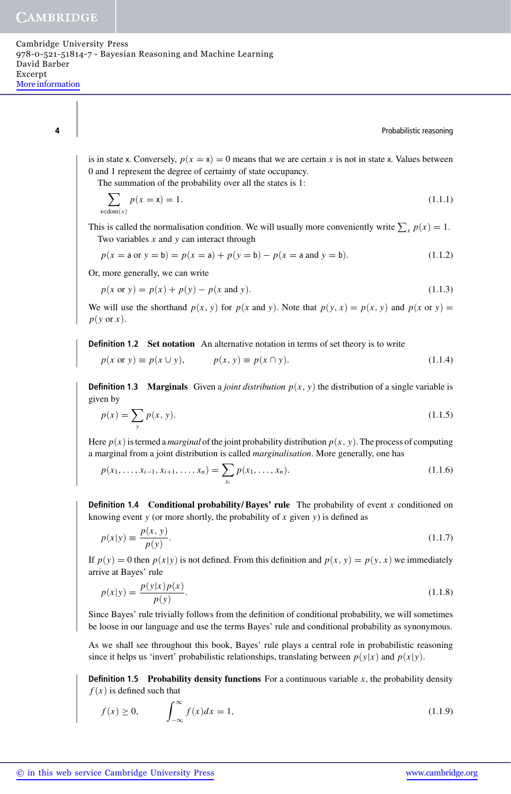Cambridge University Press 978-0-521-51814-7 - Bayesian Reasoning and Machine Learning David Barber Excerpt More information

**4** Probabilistic reasoning

is in state x. Conversely,  $p(x = x) = 0$  means that we are certain x is not in state x. Values between 0 and 1 represent the degree of certainty of state occupancy.

The summation of the probability over all the states is 1:

$$
\sum_{x \in \text{dom}(x)} p(x = x) = 1. \tag{1.1.1}
$$

This is called the normalisation condition. We will usually more conveniently write  $\sum_{x} p(x) = 1$ . Two variables *x* and *y* can interact through

$$
p(x = a \text{ or } y = b) = p(x = a) + p(y = b) - p(x = a \text{ and } y = b).
$$
 (1.1.2)

Or, more generally, we can write

$$
p(x \text{ or } y) = p(x) + p(y) - p(x \text{ and } y).
$$
 (1.1.3)

We will use the shorthand  $p(x, y)$  for  $p(x \text{ and } y)$ . Note that  $p(y, x) = p(x, y)$  and  $p(x \text{ or } y) = p(x)$ *p*(*y* or *x*).

**Definition 1.2 Set notation** An alternative notation in terms of set theory is to write

$$
p(x \text{ or } y) \equiv p(x \cup y), \qquad p(x, y) \equiv p(x \cap y). \tag{1.1.4}
$$

**Definition 1.3 Marginals** Given a *joint distribution*  $p(x, y)$  the distribution of a single variable is given by

$$
p(x) = \sum_{y} p(x, y). \tag{1.1.5}
$$

Here  $p(x)$  is termed a *marginal* of the joint probability distribution  $p(x, y)$ . The process of computing a marginal from a joint distribution is called *marginalisation*. More generally, one has

$$
p(x_1, \ldots, x_{i-1}, x_{i+1}, \ldots, x_n) = \sum_{x_i} p(x_1, \ldots, x_n).
$$
 (1.1.6)

**Definition 1.4 Conditional probability/ Bayes' rule** The probability of event *x* conditioned on knowing event *y* (or more shortly, the probability of *x* given *y*) is defined as

$$
p(x|y) \equiv \frac{p(x, y)}{p(y)}.\tag{1.1.7}
$$

If  $p(y) = 0$  then  $p(x|y)$  is not defined. From this definition and  $p(x, y) = p(y, x)$  we immediately arrive at Bayes' rule

$$
p(x|y) = \frac{p(y|x)p(x)}{p(y)}.
$$
\n(1.1.8)

Since Bayes' rule trivially follows from the definition of conditional probability, we will sometimes be loose in our language and use the terms Bayes' rule and conditional probability as synonymous.

As we shall see throughout this book, Bayes' rule plays a central role in probabilistic reasoning since it helps us 'invert' probabilistic relationships, translating between  $p(y|x)$  and  $p(x|y)$ .

**Definition 1.5 Probability density functions** For a continuous variable  $x$ , the probability density  $f(x)$  is defined such that

$$
f(x) \ge 0, \qquad \int_{-\infty}^{\infty} f(x)dx = 1,
$$
\n(1.1.9)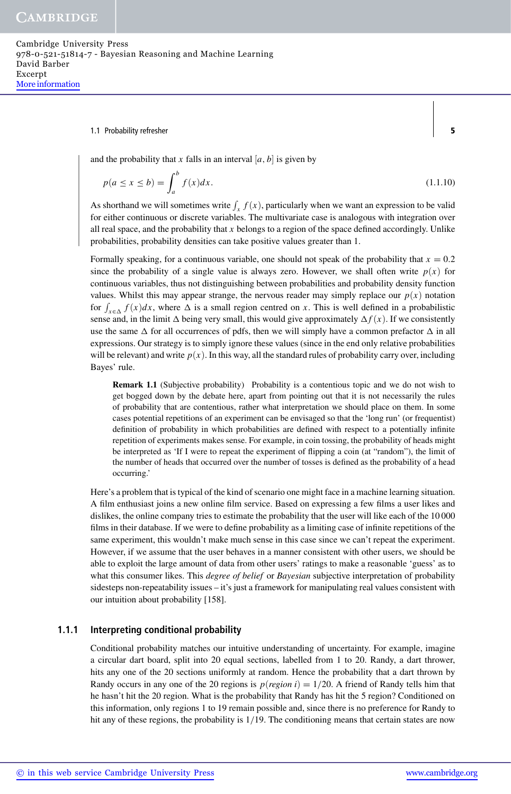#### 1.1 Probability refresher **5**

and the probability that *x* falls in an interval  $[a, b]$  is given by

$$
p(a \le x \le b) = \int_{a}^{b} f(x)dx.
$$
 (1.1.10)

As shorthand we will sometimes write  $\int_x f(x)$ , particularly when we want an expression to be valid for either continuous or discrete variables. The multivariate case is analogous with integration over all real space, and the probability that *x* belongs to a region of the space defined accordingly. Unlike probabilities, probability densities can take positive values greater than 1.

Formally speaking, for a continuous variable, one should not speak of the probability that  $x = 0.2$ since the probability of a single value is always zero. However, we shall often write  $p(x)$  for continuous variables, thus not distinguishing between probabilities and probability density function values. Whilst this may appear strange, the nervous reader may simply replace our  $p(x)$  notation for  $\int_{x \in \Delta} f(x) dx$ , where  $\Delta$  is a small region centred on *x*. This is well defined in a probabilistic sense and, in the limit  $\Delta$  being very small, this would give approximately  $\Delta f(x)$ . If we consistently use the same  $\Delta$  for all occurrences of pdfs, then we will simply have a common prefactor  $\Delta$  in all expressions. Our strategy is to simply ignore these values (since in the end only relative probabilities will be relevant) and write  $p(x)$ . In this way, all the standard rules of probability carry over, including Bayes' rule.

**Remark 1.1** (Subjective probability) Probability is a contentious topic and we do not wish to get bogged down by the debate here, apart from pointing out that it is not necessarily the rules of probability that are contentious, rather what interpretation we should place on them. In some cases potential repetitions of an experiment can be envisaged so that the 'long run' (or frequentist) definition of probability in which probabilities are defined with respect to a potentially infinite repetition of experiments makes sense. For example, in coin tossing, the probability of heads might be interpreted as 'If I were to repeat the experiment of flipping a coin (at "random"), the limit of the number of heads that occurred over the number of tosses is defined as the probability of a head occurring.'

Here's a problem that is typical of the kind of scenario one might face in a machine learning situation. A film enthusiast joins a new online film service. Based on expressing a few films a user likes and dislikes, the online company tries to estimate the probability that the user will like each of the 10 000 films in their database. If we were to define probability as a limiting case of infinite repetitions of the same experiment, this wouldn't make much sense in this case since we can't repeat the experiment. However, if we assume that the user behaves in a manner consistent with other users, we should be able to exploit the large amount of data from other users' ratings to make a reasonable 'guess' as to what this consumer likes. This *degree of belief* or *Bayesian* subjective interpretation of probability sidesteps non-repeatability issues – it's just a framework for manipulating real values consistent with our intuition about probability [158].

## **1.1.1 Interpreting conditional probability**

Conditional probability matches our intuitive understanding of uncertainty. For example, imagine a circular dart board, split into 20 equal sections, labelled from 1 to 20. Randy, a dart thrower, hits any one of the 20 sections uniformly at random. Hence the probability that a dart thrown by Randy occurs in any one of the 20 regions is  $p(\text{region } i) = 1/20$ . A friend of Randy tells him that he hasn't hit the 20 region. What is the probability that Randy has hit the 5 region? Conditioned on this information, only regions 1 to 19 remain possible and, since there is no preference for Randy to hit any of these regions, the probability is 1*/*19. The conditioning means that certain states are now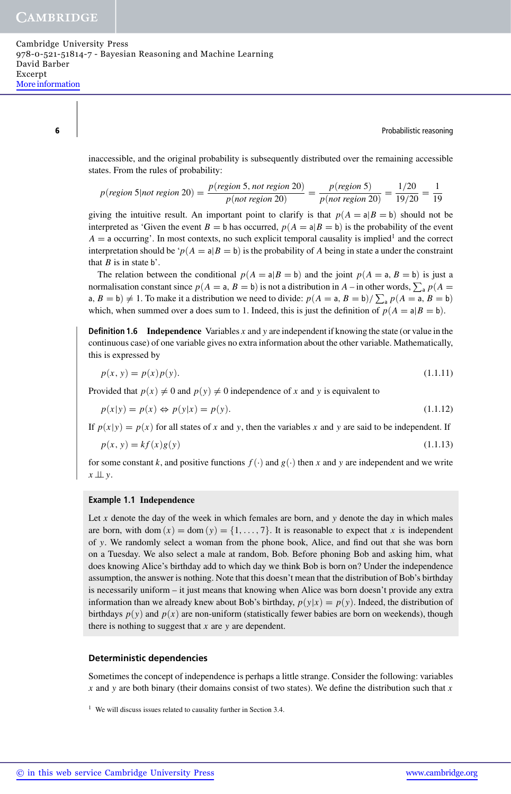**6 6** Probabilistic reasoning

inaccessible, and the original probability is subsequently distributed over the remaining accessible states. From the rules of probability:

$$
p(\text{region 5}|\text{not region 20}) = \frac{p(\text{region 5}, \text{not region 20})}{p(\text{not region 20})} = \frac{p(\text{region 5})}{p(\text{not region 20})} = \frac{1/20}{19/20} = \frac{1}{19}
$$

giving the intuitive result. An important point to clarify is that  $p(A = a|B = b)$  should not be interpreted as 'Given the event  $B = b$  has occurred,  $p(A = a|B = b)$  is the probability of the event  $A = a$  occurring'. In most contexts, no such explicit temporal causality is implied<sup>1</sup> and the correct interpretation should be ' $p(A = a|B = b)$  is the probability of A being in state a under the constraint that  $B$  is in state  $b'$ .

The relation between the conditional  $p(A = a|B = b)$  and the joint  $p(A = a, B = b)$  is just a normalisation constant since  $p(A = a, B = b)$  is not a distribution in  $A -$  in other words,  $\sum_a p(A = a)$ a,  $B = b$ )  $\neq 1$ . To make it a distribution we need to divide:  $p(A = a, B = b) / \sum_a p(A = a, B = b)$ which, when summed over a does sum to 1. Indeed, this is just the definition of  $p(A = a|B = b)$ .

**Definition 1.6 Independence** Variables *x* and *y* are independent if knowing the state (or value in the continuous case) of one variable gives no extra information about the other variable. Mathematically, this is expressed by

$$
p(x, y) = p(x)p(y).
$$
 (1.1.11)

Provided that  $p(x) \neq 0$  and  $p(y) \neq 0$  independence of x and y is equivalent to

$$
p(x|y) = p(x) \Leftrightarrow p(y|x) = p(y). \tag{1.1.12}
$$

If  $p(x|y) = p(x)$  for all states of *x* and *y*, then the variables *x* and *y* are said to be independent. If

$$
p(x, y) = kf(x)g(y)
$$
\n
$$
(1.1.13)
$$

for some constant k, and positive functions  $f(\cdot)$  and  $g(\cdot)$  then x and y are independent and we write *x* ⊥⊥*y*.

#### **Example 1.1 Independence**

Let *x* denote the day of the week in which females are born, and *y* denote the day in which males are born, with dom  $(x) =$  dom  $(y) = \{1, ..., 7\}$ . It is reasonable to expect that *x* is independent of *y*. We randomly select a woman from the phone book, Alice, and find out that she was born on a Tuesday. We also select a male at random, Bob. Before phoning Bob and asking him, what does knowing Alice's birthday add to which day we think Bob is born on? Under the independence assumption, the answer is nothing. Note that this doesn't mean that the distribution of Bob's birthday is necessarily uniform – it just means that knowing when Alice was born doesn't provide any extra information than we already knew about Bob's birthday,  $p(y|x) = p(y)$ . Indeed, the distribution of birthdays  $p(y)$  and  $p(x)$  are non-uniform (statistically fewer babies are born on weekends), though there is nothing to suggest that *x* are *y* are dependent.

#### **Deterministic dependencies**

Sometimes the concept of independence is perhaps a little strange. Consider the following: variables *x* and *y* are both binary (their domains consist of two states). We define the distribution such that *x*

<sup>1</sup> We will discuss issues related to causality further in Section 3.4.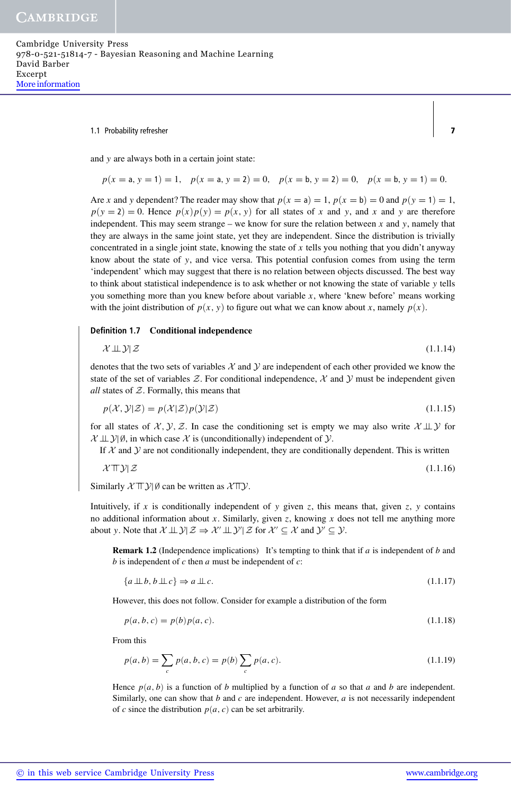#### 1.1 Probability refresher **7**

and *y* are always both in a certain joint state:

$$
p(x = a, y = 1) = 1
$$
,  $p(x = a, y = 2) = 0$ ,  $p(x = b, y = 2) = 0$ ,  $p(x = b, y = 1) = 0$ .

Are *x* and *y* dependent? The reader may show that  $p(x = a) = 1$ ,  $p(x = b) = 0$  and  $p(y = 1) = 1$ ,  $p(y = 2) = 0$ . Hence  $p(x)p(y) = p(x, y)$  for all states of *x* and *y*, and *x* and *y* are therefore independent. This may seem strange – we know for sure the relation between  $x$  and  $y$ , namely that they are always in the same joint state, yet they are independent. Since the distribution is trivially concentrated in a single joint state, knowing the state of *x* tells you nothing that you didn't anyway know about the state of *y*, and vice versa. This potential confusion comes from using the term 'independent' which may suggest that there is no relation between objects discussed. The best way to think about statistical independence is to ask whether or not knowing the state of variable *y* tells you something more than you knew before about variable *x*, where 'knew before' means working with the joint distribution of  $p(x, y)$  to figure out what we can know about *x*, namely  $p(x)$ .

#### **Definition 1.7 Conditional independence**

$$
\mathcal{X} \perp \!\!\!\perp \mathcal{Y} \mid \mathcal{Z} \tag{1.1.14}
$$

denotes that the two sets of variables  $\mathcal X$  and  $\mathcal Y$  are independent of each other provided we know the state of the set of variables  $\mathcal{Z}$ . For conditional independence,  $\mathcal{X}$  and  $\mathcal{Y}$  must be independent given *all* states of Z*.* Formally, this means that

$$
p(\mathcal{X}, \mathcal{Y}|\mathcal{Z}) = p(\mathcal{X}|\mathcal{Z})p(\mathcal{Y}|\mathcal{Z})
$$
\n(1.1.15)

for all states of  $\mathcal{X}, \mathcal{Y}, \mathcal{Z}$ . In case the conditioning set is empty we may also write  $\mathcal{X} \perp \perp \mathcal{Y}$  for  $\mathcal{X} \perp\!\!\!\perp \mathcal{Y} \parallel \emptyset$ , in which case  $\mathcal{X}$  is (unconditionally) independent of  $\mathcal{Y}$ .

If  $X$  and  $Y$  are not conditionally independent, they are conditionally dependent. This is written

$$
\mathcal{X} \sqcap \mathcal{Y} \mid \mathcal{Z} \tag{1.1.16}
$$

Similarly  $\mathcal{X} \top \top \mathcal{Y} \vert \emptyset$  can be written as  $\mathcal{X} \top \top \mathcal{Y}$ .

Intuitively, if *x* is conditionally independent of *y* given *z*, this means that, given *z*, *y* contains no additional information about *x*. Similarly, given *z*, knowing *x* does not tell me anything more about *y*. Note that  $\mathcal{X} \perp \hspace{-.25cm}\perp \mathcal{Y} \mid \mathcal{Z} \Rightarrow \mathcal{X}' \perp \hspace{-.25cm}\perp \mathcal{Y}' \mid \mathcal{Z}$  for  $\mathcal{X}' \subseteq \mathcal{X}$  and  $\mathcal{Y}' \subseteq \mathcal{Y}$ .

**Remark 1.2** (Independence implications) It's tempting to think that if *a* is independent of *b* and *b* is independent of *c* then *a* must be independent of *c*:

$$
\{a \perp b, b \perp c\} \Rightarrow a \perp c. \tag{1.1.17}
$$

However, this does not follow. Consider for example a distribution of the form

$$
p(a, b, c) = p(b)p(a, c).
$$
\n(1.1.18)

From this

$$
p(a,b) = \sum_{c} p(a,b,c) = p(b) \sum_{c} p(a,c).
$$
 (1.1.19)

Hence  $p(a, b)$  is a function of *b* multiplied by a function of *a* so that *a* and *b* are independent. Similarly, one can show that *b* and *c* are independent. However, *a* is not necessarily independent of *c* since the distribution  $p(a, c)$  can be set arbitrarily.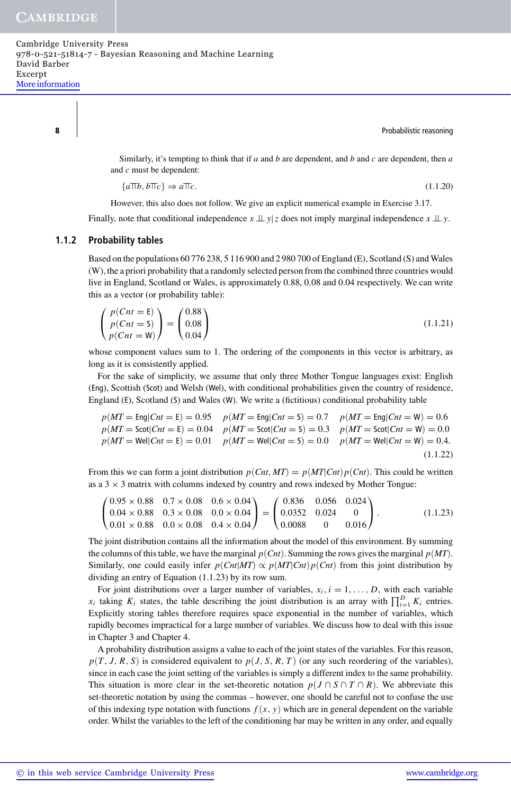**8 8** Probabilistic reasoning

Similarly, it's tempting to think that if *a* and *b* are dependent, and *b* and *c* are dependent, then *a* and *c* must be dependent:

$$
\{a\overline{\text{II}}b, b\overline{\text{II}}c\} \Rightarrow a\overline{\text{II}}c. \tag{1.1.20}
$$

However, this also does not follow. We give an explicit numerical example in Exercise 3.17.

Finally, note that conditional independence  $x \perp y \mid z$  does not imply marginal independence  $x \perp y$ .

#### **1.1.2 Probability tables**

Based on the populations 60 776 238, 5 116 900 and 2 980 700 of England (E), Scotland (S) and Wales (W), the a priori probability that a randomly selected person from the combined three countries would live in England, Scotland or Wales, is approximately 0*.*88, 0*.*08 and 0*.*04 respectively. We can write this as a vector (or probability table):

$$
\begin{pmatrix}\np(Cnt = E) \\
p(Cnt = S) \\
p(Cnt = W)\n\end{pmatrix} = \begin{pmatrix}\n0.88 \\
0.08 \\
0.04\n\end{pmatrix}
$$
\n(1.1.21)

whose component values sum to 1. The ordering of the components in this vector is arbitrary, as long as it is consistently applied.

For the sake of simplicity, we assume that only three Mother Tongue languages exist: English (Eng), Scottish (Scot) and Welsh (Wel), with conditional probabilities given the country of residence, England (E), Scotland (S) and Wales (W). We write a (fictitious) conditional probability table

$$
p(MT = \text{Eng}|Cnt = E) = 0.95 \t p(MT = \text{Eng}|Cnt = S) = 0.7 \t p(MT = \text{Eng}|Cnt = W) = 0.6
$$
  
\n
$$
p(MT = \text{Scott}|Cnt = E) = 0.04 \t p(MT = \text{Scott}|Cnt = S) = 0.3 \t p(MT = \text{Scott}|Cnt = W) = 0.0
$$
  
\n
$$
p(MT = \text{Well}|Cnt = E) = 0.01 \t p(MT = \text{Well}|Cnt = S) = 0.0 \t p(MT = \text{Well}|Cnt = W) = 0.4.
$$
  
\n(1.1.22)

From this we can form a joint distribution  $p(Cnt, MT) = p(MT|Cnt)p(Cnt)$ . This could be written as a  $3 \times 3$  matrix with columns indexed by country and rows indexed by Mother Tongue:

$$
\begin{pmatrix}\n0.95 \times 0.88 & 0.7 \times 0.08 & 0.6 \times 0.04 \\
0.04 \times 0.88 & 0.3 \times 0.08 & 0.0 \times 0.04 \\
0.01 \times 0.88 & 0.0 \times 0.08 & 0.4 \times 0.04\n\end{pmatrix} = \begin{pmatrix}\n0.836 & 0.056 & 0.024 \\
0.0352 & 0.024 & 0 \\
0.0088 & 0 & 0.016\n\end{pmatrix}.
$$
\n(1.1.23)

The joint distribution contains all the information about the model of this environment. By summing the columns of this table, we have the marginal  $p(Cnt)$ . Summing the rows gives the marginal  $p(MT)$ . Similarly, one could easily infer  $p(\text{Cnt}|MT) \propto p(MT|\text{Cnt})p(\text{Cnt})$  from this joint distribution by dividing an entry of Equation (1.1.23) by its row sum.

For joint distributions over a larger number of variables,  $x_i$ ,  $i = 1, \ldots, D$ , with each variable  $x_i$  taking  $K_i$  states, the table describing the joint distribution is an array with  $\prod_{i=1}^D K_i$  entries. Explicitly storing tables therefore requires space exponential in the number of variables, which rapidly becomes impractical for a large number of variables. We discuss how to deal with this issue in Chapter 3 and Chapter 4.

A probability distribution assigns a value to each of the joint states of the variables. For this reason,  $p(T, J, R, S)$  is considered equivalent to  $p(J, S, R, T)$  (or any such reordering of the variables), since in each case the joint setting of the variables is simply a different index to the same probability. This situation is more clear in the set-theoretic notation  $p(J \cap S \cap T \cap R)$ . We abbreviate this set-theoretic notation by using the commas – however, one should be careful not to confuse the use of this indexing type notation with functions  $f(x, y)$  which are in general dependent on the variable order. Whilst the variables to the left of the conditioning bar may be written in any order, and equally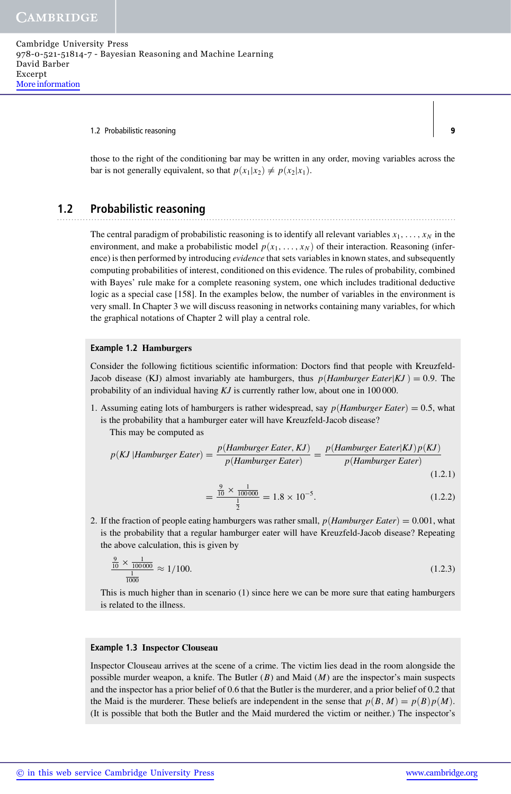1.2 Probabilistic reasoning **9**

those to the right of the conditioning bar may be written in any order, moving variables across the bar is not generally equivalent, so that  $p(x_1|x_2) \neq p(x_2|x_1)$ .

## **1.2 Probabilistic reasoning**

The central paradigm of probabilistic reasoning is to identify all relevant variables  $x_1, \ldots, x_N$  in the environment, and make a probabilistic model  $p(x_1, \ldots, x_N)$  of their interaction. Reasoning (inference) is then performed by introducing *evidence* that sets variables in known states, and subsequently computing probabilities of interest, conditioned on this evidence. The rules of probability, combined with Bayes' rule make for a complete reasoning system, one which includes traditional deductive logic as a special case [158]. In the examples below, the number of variables in the environment is very small. In Chapter 3 we will discuss reasoning in networks containing many variables, for which the graphical notations of Chapter 2 will play a central role.

•••••••••••••••••••••••• •••••••••••••••••••••••••• ••••••••••••••••••••••••••• •••••••••••••••••••••••••• •••••••••••••••••••••••• ••••••••••••

#### **Example 1.2 Hamburgers**

Consider the following fictitious scientific information: Doctors find that people with Kreuzfeld-Jacob disease (KJ) almost invariably ate hamburgers, thus  $p(Hamburger Eater|KJ) = 0.9$ . The probability of an individual having *KJ* is currently rather low, about one in 100 000.

1. Assuming eating lots of hamburgers is rather widespread, say *p*(*Hamburger Eater*) = 0*.*5, what is the probability that a hamburger eater will have Kreuzfeld-Jacob disease? This may be computed as

$$
p(KJ | \text{Hamburger Eater}) = \frac{p(\text{Hamburger Eater}, KJ)}{p(\text{Hamburger Eater})} = \frac{p(\text{Hamburger Eater}|KJ)p(KJ)}{p(\text{Hamburger Eater})}
$$
\n(1.2.1)

$$
=\frac{\frac{9}{10} \times \frac{1}{100000}}{\frac{1}{2}} = 1.8 \times 10^{-5}.
$$
 (1.2.2)

2. If the fraction of people eating hamburgers was rather small,  $p(Hamburger Eater) = 0.001$ , what is the probability that a regular hamburger eater will have Kreuzfeld-Jacob disease? Repeating the above calculation, this is given by

$$
\frac{\frac{9}{10} \times \frac{1}{100000}}{\frac{1}{1000}} \approx 1/100.
$$
\n(1.2.3)

This is much higher than in scenario (1) since here we can be more sure that eating hamburgers is related to the illness.

#### **Example 1.3 Inspector Clouseau**

Inspector Clouseau arrives at the scene of a crime. The victim lies dead in the room alongside the possible murder weapon, a knife. The Butler (*B*) and Maid (*M*) are the inspector's main suspects and the inspector has a prior belief of 0.6 that the Butler is the murderer, and a prior belief of 0.2 that the Maid is the murderer. These beliefs are independent in the sense that  $p(B, M) = p(B)p(M)$ . (It is possible that both the Butler and the Maid murdered the victim or neither.) The inspector's